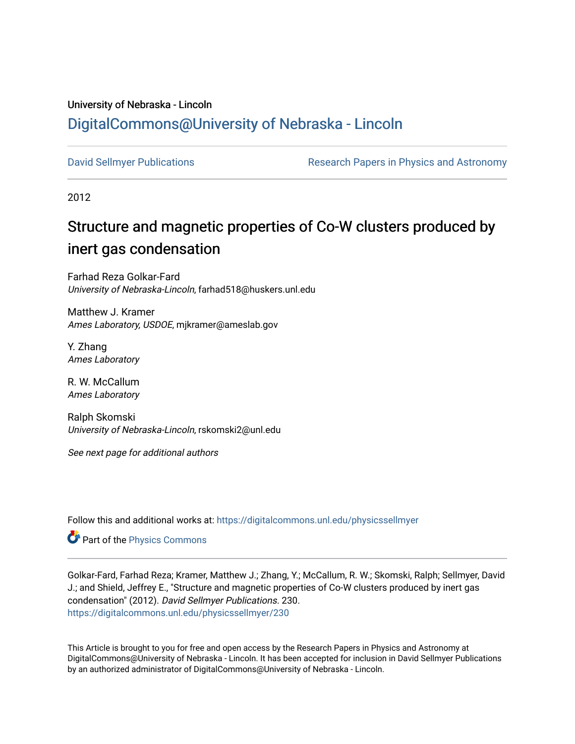## University of Nebraska - Lincoln [DigitalCommons@University of Nebraska - Lincoln](https://digitalcommons.unl.edu/)

[David Sellmyer Publications](https://digitalcommons.unl.edu/physicssellmyer) The Research Papers in Physics and Astronomy

2012

# Structure and magnetic properties of Co-W clusters produced by inert gas condensation

Farhad Reza Golkar-Fard University of Nebraska-Lincoln, farhad518@huskers.unl.edu

Matthew J. Kramer Ames Laboratory, USDOE, mjkramer@ameslab.gov

Y. Zhang Ames Laboratory

R. W. McCallum Ames Laboratory

Ralph Skomski University of Nebraska-Lincoln, rskomski2@unl.edu

See next page for additional authors

Follow this and additional works at: [https://digitalcommons.unl.edu/physicssellmyer](https://digitalcommons.unl.edu/physicssellmyer?utm_source=digitalcommons.unl.edu%2Fphysicssellmyer%2F230&utm_medium=PDF&utm_campaign=PDFCoverPages) 

Part of the [Physics Commons](http://network.bepress.com/hgg/discipline/193?utm_source=digitalcommons.unl.edu%2Fphysicssellmyer%2F230&utm_medium=PDF&utm_campaign=PDFCoverPages)

Golkar-Fard, Farhad Reza; Kramer, Matthew J.; Zhang, Y.; McCallum, R. W.; Skomski, Ralph; Sellmyer, David J.; and Shield, Jeffrey E., "Structure and magnetic properties of Co-W clusters produced by inert gas condensation" (2012). David Sellmyer Publications. 230. [https://digitalcommons.unl.edu/physicssellmyer/230](https://digitalcommons.unl.edu/physicssellmyer/230?utm_source=digitalcommons.unl.edu%2Fphysicssellmyer%2F230&utm_medium=PDF&utm_campaign=PDFCoverPages) 

This Article is brought to you for free and open access by the Research Papers in Physics and Astronomy at DigitalCommons@University of Nebraska - Lincoln. It has been accepted for inclusion in David Sellmyer Publications by an authorized administrator of DigitalCommons@University of Nebraska - Lincoln.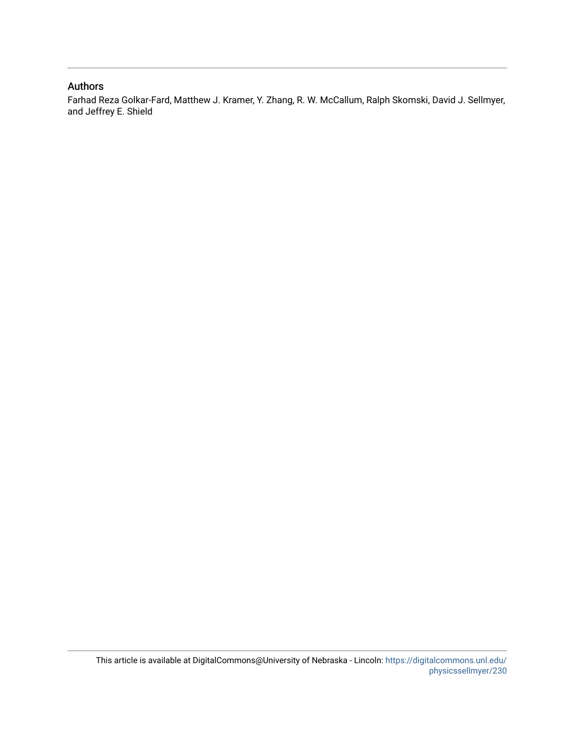#### Authors

Farhad Reza Golkar-Fard, Matthew J. Kramer, Y. Zhang, R. W. McCallum, Ralph Skomski, David J. Sellmyer, and Jeffrey E. Shield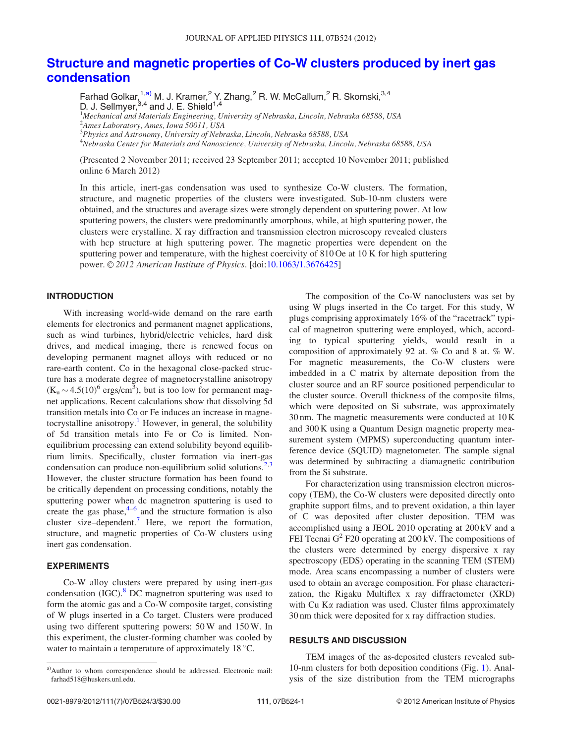### [Structure and magnetic properties of Co-W clusters produced by inert gas](http://dx.doi.org/10.1063/1.3676425) [condensation](http://dx.doi.org/10.1063/1.3676425)

Farhad Golkar,  $^{1, a)}$  M. J. Kramer,  $^2$  Y. Zhang,  $^2$  R. W. McCallum,  $^2$  R. Skomski,  $^{3, 4}$ D. J. Sellmyer, $^{3,4}$  and J. E. Shield $^{1,4}$ 

<sup>1</sup>Mechanical and Materials Engineering, University of Nebraska, Lincoln, Nebraska 68588, USA 2 Ames Laboratory, Ames, Iowa 50011, USA

<sup>3</sup>Physics and Astronomy, University of Nebraska, Lincoln, Nebraska 68588, USA

4 Nebraska Center for Materials and Nanoscience, University of Nebraska, Lincoln, Nebraska 68588, USA

(Presented 2 November 2011; received 23 September 2011; accepted 10 November 2011; published online 6 March 2012)

In this article, inert-gas condensation was used to synthesize Co-W clusters. The formation, structure, and magnetic properties of the clusters were investigated. Sub-10-nm clusters were obtained, and the structures and average sizes were strongly dependent on sputtering power. At low sputtering powers, the clusters were predominantly amorphous, while, at high sputtering power, the clusters were crystalline. X ray diffraction and transmission electron microscopy revealed clusters with hcp structure at high sputtering power. The magnetic properties were dependent on the sputtering power and temperature, with the highest coercivity of 810 Oe at 10 K for high sputtering power.  $\odot$  2012 American Institute of Physics. [doi:[10.1063/1.3676425\]](http://dx.doi.org/10.1063/1.3676425)

#### **INTRODUCTION**

With increasing world-wide demand on the rare earth elements for electronics and permanent magnet applications, such as wind turbines, hybrid/electric vehicles, hard disk drives, and medical imaging, there is renewed focus on developing permanent magnet alloys with reduced or no rare-earth content. Co in the hexagonal close-packed structure has a moderate degree of magnetocrystalline anisotropy  $(K_u \sim 4.5(10)^6 \text{ ergs/cm}^3)$ , but is too low for permanent magnet applications. Recent calculations show that dissolving 5d transition metals into Co or Fe induces an increase in magne-tocrystalline anisotropy.<sup>[1](#page-4-0)</sup> However, in general, the solubility of 5d transition metals into Fe or Co is limited. Nonequilibrium processing can extend solubility beyond equilibrium limits. Specifically, cluster formation via inert-gas condensation can produce non-equilibrium solid solutions.<sup>[2,3](#page-4-0)</sup> However, the cluster structure formation has been found to be critically dependent on processing conditions, notably the sputtering power when dc magnetron sputtering is used to create the gas phase, $4-6$  and the structure formation is also cluster size–dependent.<sup>[7](#page-4-0)</sup> Here, we report the formation, structure, and magnetic properties of Co-W clusters using inert gas condensation.

#### EXPERIMENTS

Co-W alloy clusters were prepared by using inert-gas condensation  $(IGC)<sup>8</sup> DC$  $(IGC)<sup>8</sup> DC$  $(IGC)<sup>8</sup> DC$  magnetron sputtering was used to form the atomic gas and a Co-W composite target, consisting of W plugs inserted in a Co target. Clusters were produced using two different sputtering powers: 50 W and 150 W. In this experiment, the cluster-forming chamber was cooled by water to maintain a temperature of approximately  $18 \degree C$ .

The composition of the Co-W nanoclusters was set by using W plugs inserted in the Co target. For this study, W plugs comprising approximately 16% of the "racetrack" typical of magnetron sputtering were employed, which, according to typical sputtering yields, would result in a composition of approximately 92 at. % Co and 8 at. % W. For magnetic measurements, the Co-W clusters were imbedded in a C matrix by alternate deposition from the cluster source and an RF source positioned perpendicular to the cluster source. Overall thickness of the composite films, which were deposited on Si substrate, was approximately 30 nm. The magnetic measurements were conducted at 10 K and 300 K using a Quantum Design magnetic property measurement system (MPMS) superconducting quantum interference device (SQUID) magnetometer. The sample signal was determined by subtracting a diamagnetic contribution from the Si substrate.

For characterization using transmission electron microscopy (TEM), the Co-W clusters were deposited directly onto graphite support films, and to prevent oxidation, a thin layer of C was deposited after cluster deposition. TEM was accomplished using a JEOL 2010 operating at 200 kV and a FEI Tecnai  $G^2$  F20 operating at 200 kV. The compositions of the clusters were determined by energy dispersive x ray spectroscopy (EDS) operating in the scanning TEM (STEM) mode. Area scans encompassing a number of clusters were used to obtain an average composition. For phase characterization, the Rigaku Multiflex x ray diffractometer (XRD) with Cu  $K\alpha$  radiation was used. Cluster films approximately 30 nm thick were deposited for x ray diffraction studies.

#### RESULTS AND DISCUSSION

TEM images of the as-deposited clusters revealed sub-10-nm clusters for both deposition conditions (Fig. [1](#page-3-0)). Analysis of the size distribution from the TEM micrographs

a)Author to whom correspondence should be addressed. Electronic mail: farhad518@huskers.unl.edu.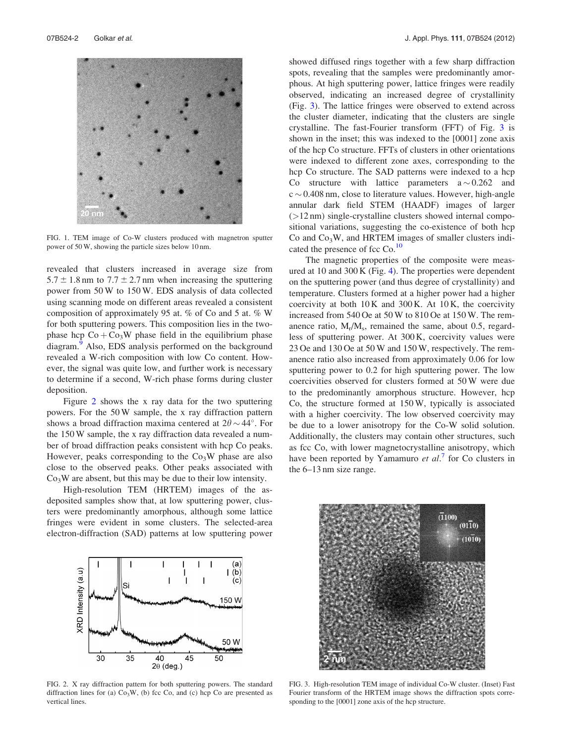<span id="page-3-0"></span>

FIG. 1. TEM image of Co-W clusters produced with magnetron sputter power of 50 W, showing the particle sizes below 10 nm.

revealed that clusters increased in average size from  $5.7 \pm 1.8$  nm to  $7.7 \pm 2.7$  nm when increasing the sputtering power from 50 W to 150 W. EDS analysis of data collected using scanning mode on different areas revealed a consistent composition of approximately 95 at. % of Co and 5 at. % W for both sputtering powers. This composition lies in the twophase hcp  $Co + Co<sub>3</sub>W$  phase field in the equilibrium phase diagram.<sup>[9](#page-4-0)</sup> Also, EDS analysis performed on the background revealed a W-rich composition with low Co content. However, the signal was quite low, and further work is necessary to determine if a second, W-rich phase forms during cluster deposition.

Figure 2 shows the x ray data for the two sputtering powers. For the 50 W sample, the x ray diffraction pattern shows a broad diffraction maxima centered at  $2\theta \sim 44^{\circ}$ . For the 150 W sample, the x ray diffraction data revealed a number of broad diffraction peaks consistent with hcp Co peaks. However, peaks corresponding to the  $Co<sub>3</sub>W$  phase are also close to the observed peaks. Other peaks associated with  $Co<sub>3</sub>W$  are absent, but this may be due to their low intensity.

High-resolution TEM (HRTEM) images of the asdeposited samples show that, at low sputtering power, clusters were predominantly amorphous, although some lattice fringes were evident in some clusters. The selected-area electron-diffraction (SAD) patterns at low sputtering power



FIG. 2. X ray diffraction pattern for both sputtering powers. The standard diffraction lines for (a)  $Co<sub>3</sub>W$ , (b) fcc Co, and (c) hcp Co are presented as vertical lines.

showed diffused rings together with a few sharp diffraction spots, revealing that the samples were predominantly amorphous. At high sputtering power, lattice fringes were readily observed, indicating an increased degree of crystallinity (Fig. 3). The lattice fringes were observed to extend across the cluster diameter, indicating that the clusters are single crystalline. The fast-Fourier transform (FFT) of Fig. 3 is shown in the inset; this was indexed to the [0001] zone axis of the hcp Co structure. FFTs of clusters in other orientations were indexed to different zone axes, corresponding to the hcp Co structure. The SAD patterns were indexed to a hcp Co structure with lattice parameters  $a \sim 0.262$  and  $c \sim 0.408$  nm, close to literature values. However, high-angle annular dark field STEM (HAADF) images of larger (>12 nm) single-crystalline clusters showed internal compositional variations, suggesting the co-existence of both hcp  $Co$  and  $Co<sub>3</sub>W$ , and HRTEM images of smaller clusters indicated the presence of fcc  $Co$ .<sup>10</sup>

The magnetic properties of the composite were measured at 10 and 300 K (Fig. [4](#page-4-0)). The properties were dependent on the sputtering power (and thus degree of crystallinity) and temperature. Clusters formed at a higher power had a higher coercivity at both  $10 K$  and  $300 K$ . At  $10 K$ , the coercivity increased from 540 Oe at 50 W to 810 Oe at 150 W. The remanence ratio,  $M_r/M_s$ , remained the same, about 0.5, regardless of sputtering power. At 300 K, coercivity values were 23 Oe and 130 Oe at 50 W and 150 W, respectively. The remanence ratio also increased from approximately 0.06 for low sputtering power to 0.2 for high sputtering power. The low coercivities observed for clusters formed at 50 W were due to the predominantly amorphous structure. However, hcp Co, the structure formed at 150 W, typically is associated with a higher coercivity. The low observed coercivity may be due to a lower anisotropy for the Co-W solid solution. Additionally, the clusters may contain other structures, such as fcc Co, with lower magnetocrystalline anisotropy, which have been reported by Yamamuro et  $al$ <sup>[7](#page-4-0)</sup> for Co clusters in the 6–13 nm size range.



FIG. 3. High-resolution TEM image of individual Co-W cluster. (Inset) Fast Fourier transform of the HRTEM image shows the diffraction spots corresponding to the [0001] zone axis of the hcp structure.